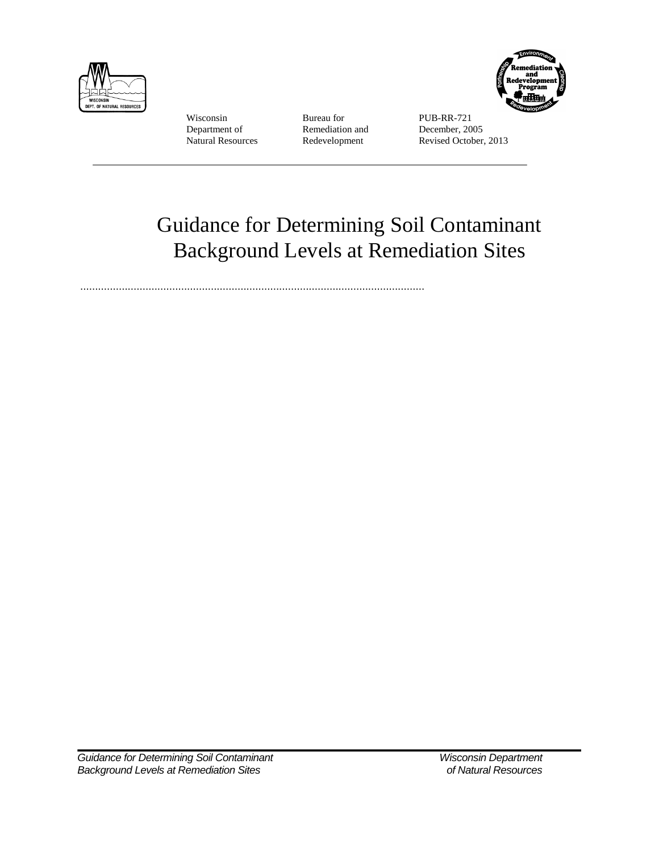

Wisconsin Bureau for PUB-RR-721<br>Department of Remediation and December, 2005 Department of Remediation and<br>
Natural Resources Redevelopment



Revised October, 2013

# Guidance for Determining Soil Contaminant Background Levels at Remediation Sites

....................................................................................................................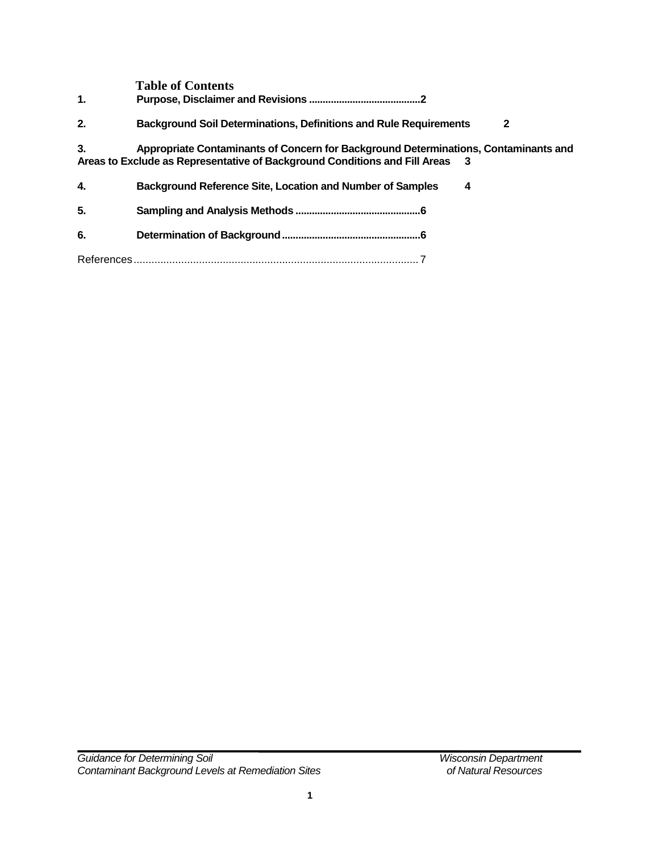|                | <b>Table of Contents</b>                                                                                                                                            |
|----------------|---------------------------------------------------------------------------------------------------------------------------------------------------------------------|
| $\mathbf{1}$ . |                                                                                                                                                                     |
| 2.             | <b>Background Soil Determinations, Definitions and Rule Requirements</b><br>2                                                                                       |
| 3.             | Appropriate Contaminants of Concern for Background Determinations, Contaminants and<br>Areas to Exclude as Representative of Background Conditions and Fill Areas 3 |
| 4.             | <b>Background Reference Site, Location and Number of Samples</b><br>4                                                                                               |
| 5.             |                                                                                                                                                                     |
| 6.             |                                                                                                                                                                     |
|                |                                                                                                                                                                     |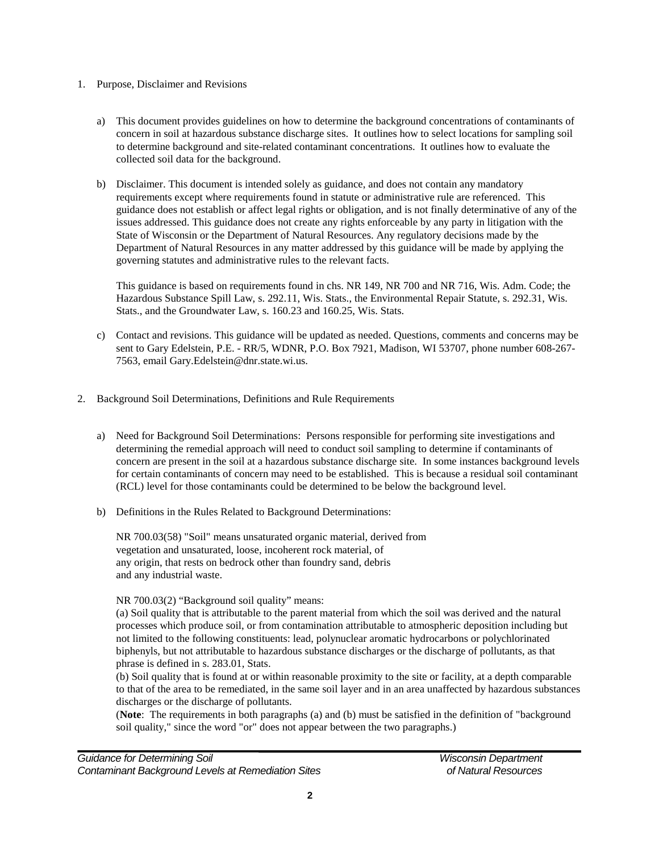#### 1. Purpose, Disclaimer and Revisions

- a) This document provides guidelines on how to determine the background concentrations of contaminants of concern in soil at hazardous substance discharge sites. It outlines how to select locations for sampling soil to determine background and site-related contaminant concentrations. It outlines how to evaluate the collected soil data for the background.
- b) Disclaimer. This document is intended solely as guidance, and does not contain any mandatory requirements except where requirements found in statute or administrative rule are referenced. This guidance does not establish or affect legal rights or obligation, and is not finally determinative of any of the issues addressed. This guidance does not create any rights enforceable by any party in litigation with the State of Wisconsin or the Department of Natural Resources. Any regulatory decisions made by the Department of Natural Resources in any matter addressed by this guidance will be made by applying the governing statutes and administrative rules to the relevant facts.

This guidance is based on requirements found in chs. NR 149, NR 700 and NR 716, Wis. Adm. Code; the Hazardous Substance Spill Law, s. 292.11, Wis. Stats., the Environmental Repair Statute, s. 292.31, Wis. Stats., and the Groundwater Law, s. 160.23 and 160.25, Wis. Stats.

- c) Contact and revisions. This guidance will be updated as needed. Questions, comments and concerns may be sent to Gary Edelstein, P.E. - RR/5, WDNR, P.O. Box 7921, Madison, WI 53707, phone number 608-267- 7563, email Gary.Edelstein@dnr.state.wi.us.
- 2. Background Soil Determinations, Definitions and Rule Requirements
	- a) Need for Background Soil Determinations: Persons responsible for performing site investigations and determining the remedial approach will need to conduct soil sampling to determine if contaminants of concern are present in the soil at a hazardous substance discharge site. In some instances background levels for certain contaminants of concern may need to be established. This is because a residual soil contaminant (RCL) level for those contaminants could be determined to be below the background level.
	- b) Definitions in the Rules Related to Background Determinations:

NR 700.03(58) "Soil" means unsaturated organic material, derived from vegetation and unsaturated, loose, incoherent rock material, of any origin, that rests on bedrock other than foundry sand, debris and any industrial waste.

NR 700.03(2) "Background soil quality" means:

(a) Soil quality that is attributable to the parent material from which the soil was derived and the natural processes which produce soil, or from contamination attributable to atmospheric deposition including but not limited to the following constituents: lead, polynuclear aromatic hydrocarbons or polychlorinated biphenyls, but not attributable to hazardous substance discharges or the discharge of pollutants, as that phrase is defined in s. 283.01, Stats.

(b) Soil quality that is found at or within reasonable proximity to the site or facility, at a depth comparable to that of the area to be remediated, in the same soil layer and in an area unaffected by hazardous substances discharges or the discharge of pollutants.

(**Note**: The requirements in both paragraphs (a) and (b) must be satisfied in the definition of "background soil quality," since the word "or" does not appear between the two paragraphs.)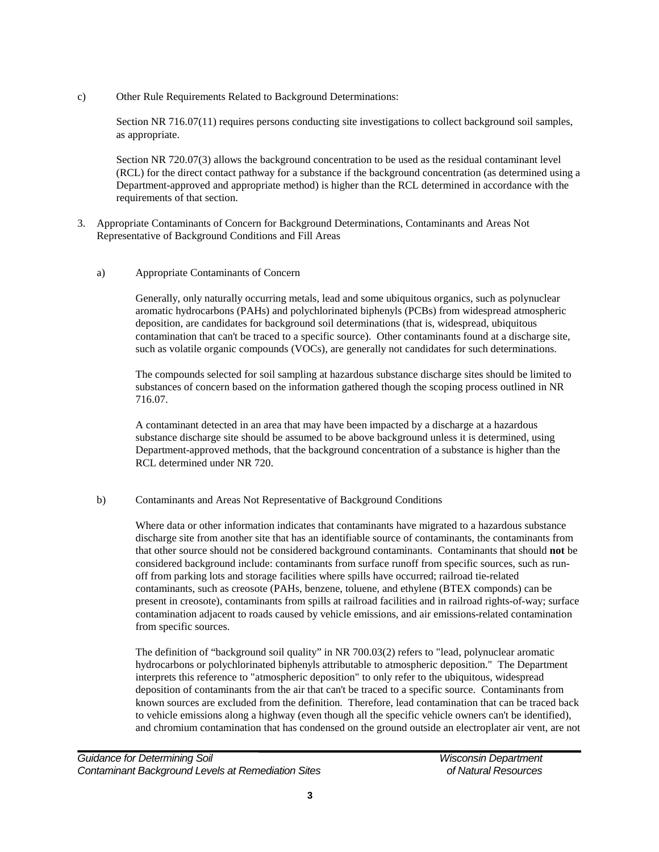c) Other Rule Requirements Related to Background Determinations:

Section NR 716.07(11) requires persons conducting site investigations to collect background soil samples, as appropriate.

Section NR 720.07(3) allows the background concentration to be used as the residual contaminant level (RCL) for the direct contact pathway for a substance if the background concentration (as determined using a Department-approved and appropriate method) is higher than the RCL determined in accordance with the requirements of that section.

- 3. Appropriate Contaminants of Concern for Background Determinations, Contaminants and Areas Not Representative of Background Conditions and Fill Areas
	- a) Appropriate Contaminants of Concern

Generally, only naturally occurring metals, lead and some ubiquitous organics, such as polynuclear aromatic hydrocarbons (PAHs) and polychlorinated biphenyls (PCBs) from widespread atmospheric deposition, are candidates for background soil determinations (that is, widespread, ubiquitous contamination that can't be traced to a specific source). Other contaminants found at a discharge site, such as volatile organic compounds (VOCs), are generally not candidates for such determinations.

The compounds selected for soil sampling at hazardous substance discharge sites should be limited to substances of concern based on the information gathered though the scoping process outlined in NR 716.07.

A contaminant detected in an area that may have been impacted by a discharge at a hazardous substance discharge site should be assumed to be above background unless it is determined, using Department-approved methods, that the background concentration of a substance is higher than the RCL determined under NR 720.

## b) Contaminants and Areas Not Representative of Background Conditions

Where data or other information indicates that contaminants have migrated to a hazardous substance discharge site from another site that has an identifiable source of contaminants, the contaminants from that other source should not be considered background contaminants. Contaminants that should **not** be considered background include: contaminants from surface runoff from specific sources, such as runoff from parking lots and storage facilities where spills have occurred; railroad tie-related contaminants, such as creosote (PAHs, benzene, toluene, and ethylene (BTEX componds) can be present in creosote), contaminants from spills at railroad facilities and in railroad rights-of-way; surface contamination adjacent to roads caused by vehicle emissions, and air emissions-related contamination from specific sources.

The definition of "background soil quality" in NR 700.03(2) refers to "lead, polynuclear aromatic hydrocarbons or polychlorinated biphenyls attributable to atmospheric deposition." The Department interprets this reference to "atmospheric deposition" to only refer to the ubiquitous, widespread deposition of contaminants from the air that can't be traced to a specific source. Contaminants from known sources are excluded from the definition. Therefore, lead contamination that can be traced back to vehicle emissions along a highway (even though all the specific vehicle owners can't be identified), and chromium contamination that has condensed on the ground outside an electroplater air vent, are not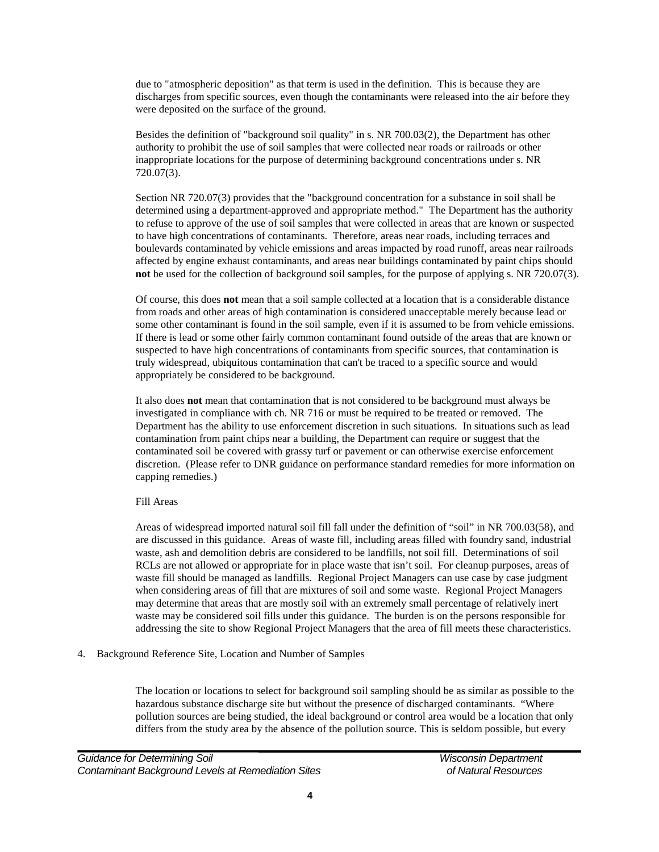due to "atmospheric deposition" as that term is used in the definition. This is because they are discharges from specific sources, even though the contaminants were released into the air before they were deposited on the surface of the ground.

Besides the definition of "background soil quality" in s. NR 700.03(2), the Department has other authority to prohibit the use of soil samples that were collected near roads or railroads or other inappropriate locations for the purpose of determining background concentrations under s. NR 720.07(3).

Section NR 720.07(3) provides that the "background concentration for a substance in soil shall be determined using a department-approved and appropriate method." The Department has the authority to refuse to approve of the use of soil samples that were collected in areas that are known or suspected to have high concentrations of contaminants. Therefore, areas near roads, including terraces and boulevards contaminated by vehicle emissions and areas impacted by road runoff, areas near railroads affected by engine exhaust contaminants, and areas near buildings contaminated by paint chips should **not** be used for the collection of background soil samples, for the purpose of applying s. NR 720.07(3).

Of course, this does **not** mean that a soil sample collected at a location that is a considerable distance from roads and other areas of high contamination is considered unacceptable merely because lead or some other contaminant is found in the soil sample, even if it is assumed to be from vehicle emissions. If there is lead or some other fairly common contaminant found outside of the areas that are known or suspected to have high concentrations of contaminants from specific sources, that contamination is truly widespread, ubiquitous contamination that can't be traced to a specific source and would appropriately be considered to be background.

It also does **not** mean that contamination that is not considered to be background must always be investigated in compliance with ch. NR 716 or must be required to be treated or removed. The Department has the ability to use enforcement discretion in such situations. In situations such as lead contamination from paint chips near a building, the Department can require or suggest that the contaminated soil be covered with grassy turf or pavement or can otherwise exercise enforcement discretion. (Please refer to DNR guidance on performance standard remedies for more information on capping remedies.)

#### Fill Areas

Areas of widespread imported natural soil fill fall under the definition of "soil" in NR 700.03(58), and are discussed in this guidance. Areas of waste fill, including areas filled with foundry sand, industrial waste, ash and demolition debris are considered to be landfills, not soil fill. Determinations of soil RCLs are not allowed or appropriate for in place waste that isn't soil. For cleanup purposes, areas of waste fill should be managed as landfills. Regional Project Managers can use case by case judgment when considering areas of fill that are mixtures of soil and some waste. Regional Project Managers may determine that areas that are mostly soil with an extremely small percentage of relatively inert waste may be considered soil fills under this guidance. The burden is on the persons responsible for addressing the site to show Regional Project Managers that the area of fill meets these characteristics.

4. Background Reference Site, Location and Number of Samples

The location or locations to select for background soil sampling should be as similar as possible to the hazardous substance discharge site but without the presence of discharged contaminants. "Where pollution sources are being studied, the ideal background or control area would be a location that only differs from the study area by the absence of the pollution source. This is seldom possible, but every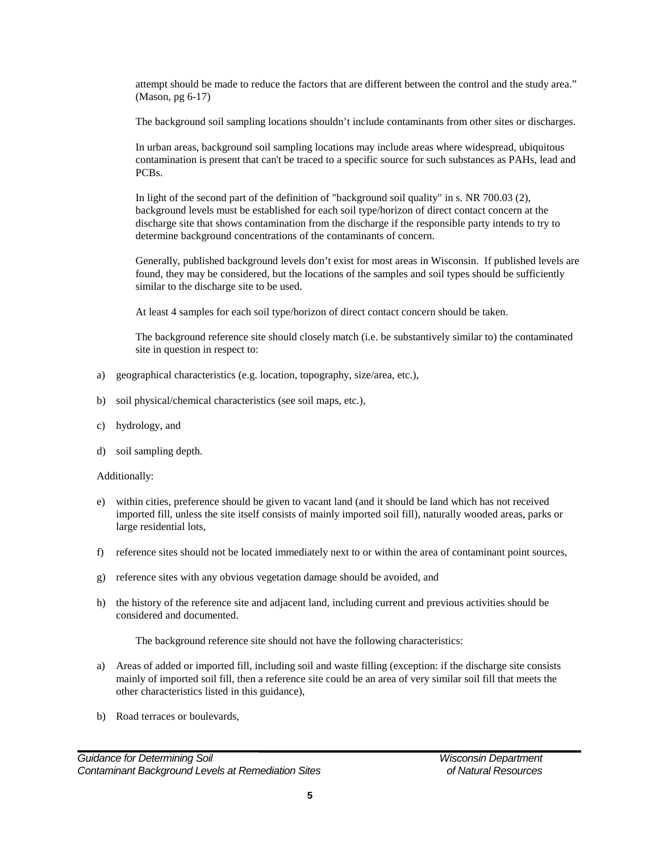attempt should be made to reduce the factors that are different between the control and the study area." (Mason, pg 6-17)

The background soil sampling locations shouldn't include contaminants from other sites or discharges.

In urban areas, background soil sampling locations may include areas where widespread, ubiquitous contamination is present that can't be traced to a specific source for such substances as PAHs, lead and PCBs.

In light of the second part of the definition of "background soil quality" in s. NR 700.03 (2), background levels must be established for each soil type/horizon of direct contact concern at the discharge site that shows contamination from the discharge if the responsible party intends to try to determine background concentrations of the contaminants of concern.

Generally, published background levels don't exist for most areas in Wisconsin. If published levels are found, they may be considered, but the locations of the samples and soil types should be sufficiently similar to the discharge site to be used.

At least 4 samples for each soil type/horizon of direct contact concern should be taken.

The background reference site should closely match (i.e. be substantively similar to) the contaminated site in question in respect to:

- a) geographical characteristics (e.g. location, topography, size/area, etc.),
- b) soil physical/chemical characteristics (see soil maps, etc.),
- c) hydrology, and
- d) soil sampling depth.

#### Additionally:

- e) within cities, preference should be given to vacant land (and it should be land which has not received imported fill, unless the site itself consists of mainly imported soil fill), naturally wooded areas, parks or large residential lots,
- f) reference sites should not be located immediately next to or within the area of contaminant point sources,
- g) reference sites with any obvious vegetation damage should be avoided, and
- h) the history of the reference site and adjacent land, including current and previous activities should be considered and documented.

The background reference site should not have the following characteristics:

- a) Areas of added or imported fill, including soil and waste filling (exception: if the discharge site consists mainly of imported soil fill, then a reference site could be an area of very similar soil fill that meets the other characteristics listed in this guidance),
- b) Road terraces or boulevards,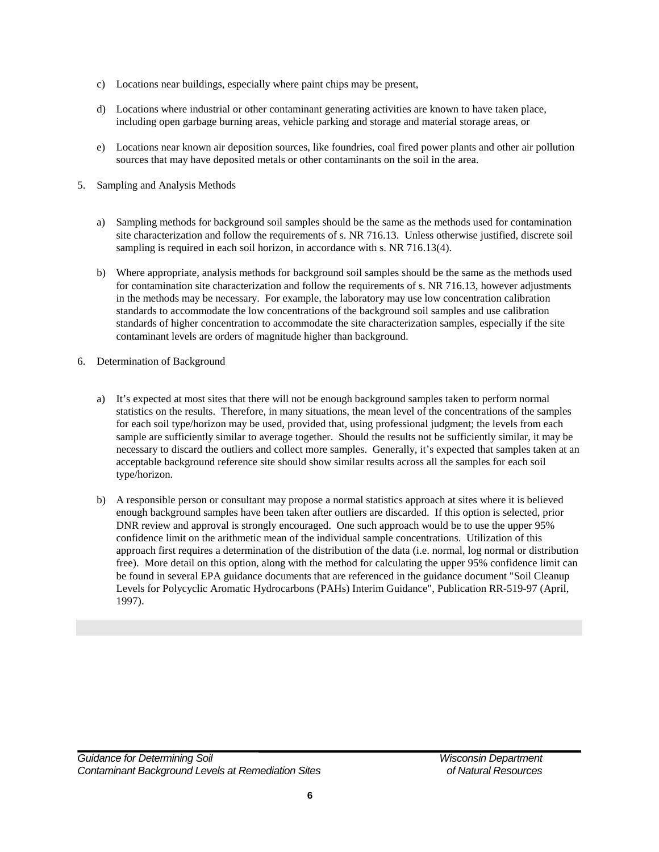- c) Locations near buildings, especially where paint chips may be present,
- d) Locations where industrial or other contaminant generating activities are known to have taken place, including open garbage burning areas, vehicle parking and storage and material storage areas, or
- e) Locations near known air deposition sources, like foundries, coal fired power plants and other air pollution sources that may have deposited metals or other contaminants on the soil in the area.
- 5. Sampling and Analysis Methods
	- a) Sampling methods for background soil samples should be the same as the methods used for contamination site characterization and follow the requirements of s. NR 716.13. Unless otherwise justified, discrete soil sampling is required in each soil horizon, in accordance with s. NR 716.13(4).
	- b) Where appropriate, analysis methods for background soil samples should be the same as the methods used for contamination site characterization and follow the requirements of s. NR 716.13, however adjustments in the methods may be necessary. For example, the laboratory may use low concentration calibration standards to accommodate the low concentrations of the background soil samples and use calibration standards of higher concentration to accommodate the site characterization samples, especially if the site contaminant levels are orders of magnitude higher than background.
- 6. Determination of Background
	- a) It's expected at most sites that there will not be enough background samples taken to perform normal statistics on the results. Therefore, in many situations, the mean level of the concentrations of the samples for each soil type/horizon may be used, provided that, using professional judgment; the levels from each sample are sufficiently similar to average together. Should the results not be sufficiently similar, it may be necessary to discard the outliers and collect more samples. Generally, it's expected that samples taken at an acceptable background reference site should show similar results across all the samples for each soil type/horizon.
	- b) A responsible person or consultant may propose a normal statistics approach at sites where it is believed enough background samples have been taken after outliers are discarded. If this option is selected, prior DNR review and approval is strongly encouraged. One such approach would be to use the upper 95% confidence limit on the arithmetic mean of the individual sample concentrations. Utilization of this approach first requires a determination of the distribution of the data (i.e. normal, log normal or distribution free). More detail on this option, along with the method for calculating the upper 95% confidence limit can be found in several EPA guidance documents that are referenced in the guidance document "Soil Cleanup Levels for Polycyclic Aromatic Hydrocarbons (PAHs) Interim Guidance", Publication RR-519-97 (April, 1997).